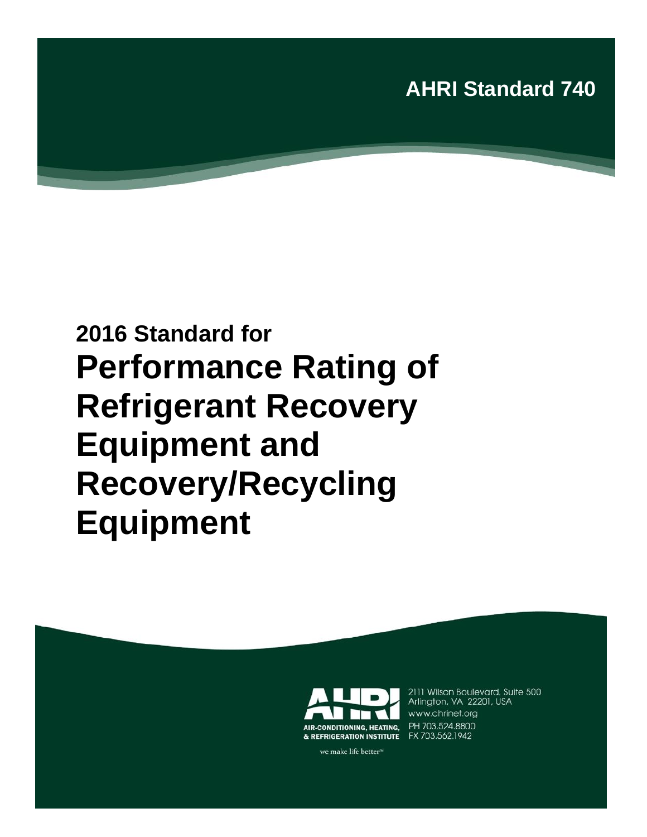

# **2016 Standard for Performance Rating of Refrigerant Recovery Equipment and Recovery/Recycling Equipment**



2111 Wilson Boulevard, Suite 500 Arlington, VA 22201, USA www.ahrinet.org PH 703.524.8800 FX 703.562.1942

we make life better<sup>™</sup>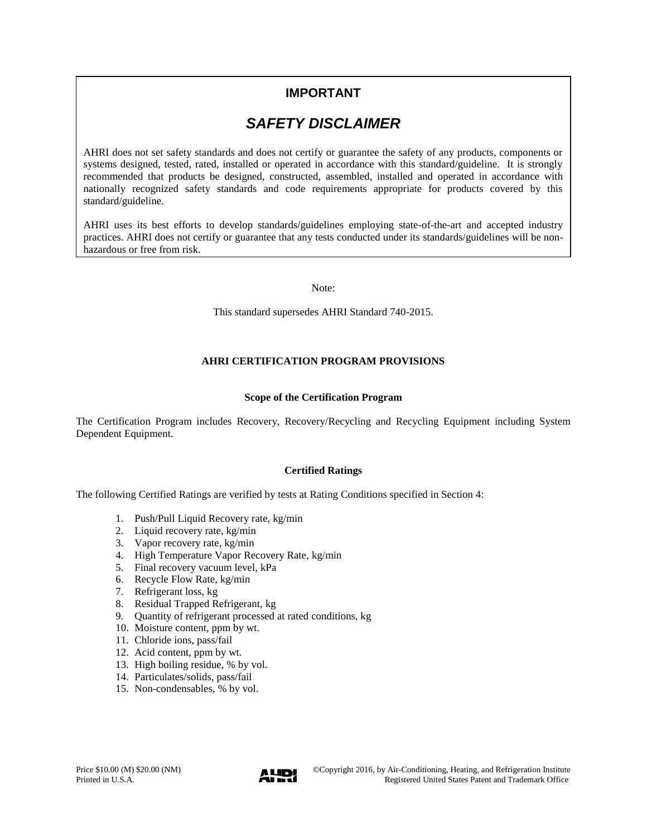### **IMPORTANT**

### *SAFETY DISCLAIMER*

AHRI does not set safety standards and does not certify or guarantee the safety of any products, components or systems designed, tested, rated, installed or operated in accordance with this standard/guideline. It is strongly recommended that products be designed, constructed, assembled, installed and operated in accordance with nationally recognized safety standards and code requirements appropriate for products covered by this standard/guideline.

AHRI uses its best efforts to develop standards/guidelines employing state-of-the-art and accepted industry practices. AHRI does not certify or guarantee that any tests conducted under its standards/guidelines will be nonhazardous or free from risk.

Note:

This standard supersedes AHRI Standard 740-2015.

#### **AHRI CERTIFICATION PROGRAM PROVISIONS**

#### **Scope of the Certification Program**

The Certification Program includes Recovery, Recovery/Recycling and Recycling Equipment including System Dependent Equipment.

#### **Certified Ratings**

The following Certified Ratings are verified by tests at Rating Conditions specified in Section 4:

- 1. Push/Pull Liquid Recovery rate, kg/min
- 2. Liquid recovery rate, kg/min
- 3. Vapor recovery rate, kg/min
- 4. High Temperature Vapor Recovery Rate, kg/min
- 5. Final recovery vacuum level, kPa
- 6. Recycle Flow Rate, kg/min
- 7. Refrigerant loss, kg
- 8. Residual Trapped Refrigerant, kg
- 9. Quantity of refrigerant processed at rated conditions, kg
- 10. Moisture content, ppm by wt.
- 11. Chloride ions, pass/fail
- 12. Acid content, ppm by wt.
- 13. High boiling residue, % by vol.
- 14. Particulates/solids, pass/fail
- 15. Non-condensables, % by vol.

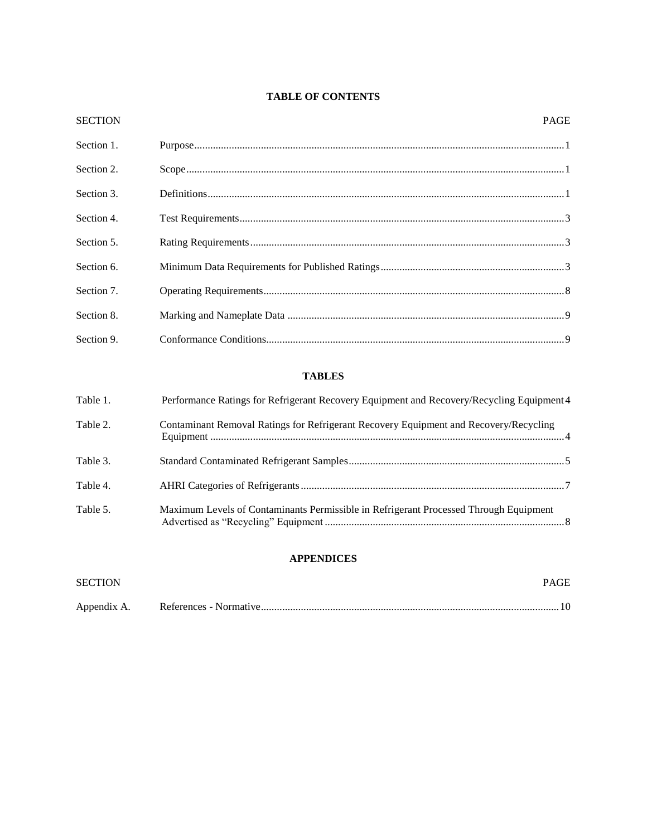#### **TABLE OF CONTENTS**

| <b>SECTION</b> | <b>PAGE</b> |
|----------------|-------------|
| Section 1.     |             |
| Section 2.     |             |
| Section 3.     |             |
| Section 4.     |             |
| Section 5.     |             |
| Section 6.     |             |
| Section 7.     |             |
| Section 8.     |             |
| Section 9.     |             |

#### **TABLES**

| Table 1. | Performance Ratings for Refrigerant Recovery Equipment and Recovery/Recycling Equipment 4 |  |
|----------|-------------------------------------------------------------------------------------------|--|
| Table 2. | Contaminant Removal Ratings for Refrigerant Recovery Equipment and Recovery/Recycling     |  |
| Table 3. |                                                                                           |  |
| Table 4. |                                                                                           |  |
| Table 5. | Maximum Levels of Contaminants Permissible in Refrigerant Processed Through Equipment     |  |

#### **APPENDICES**

| <b>SECTION</b> | <b>PAGE</b> |
|----------------|-------------|
|                |             |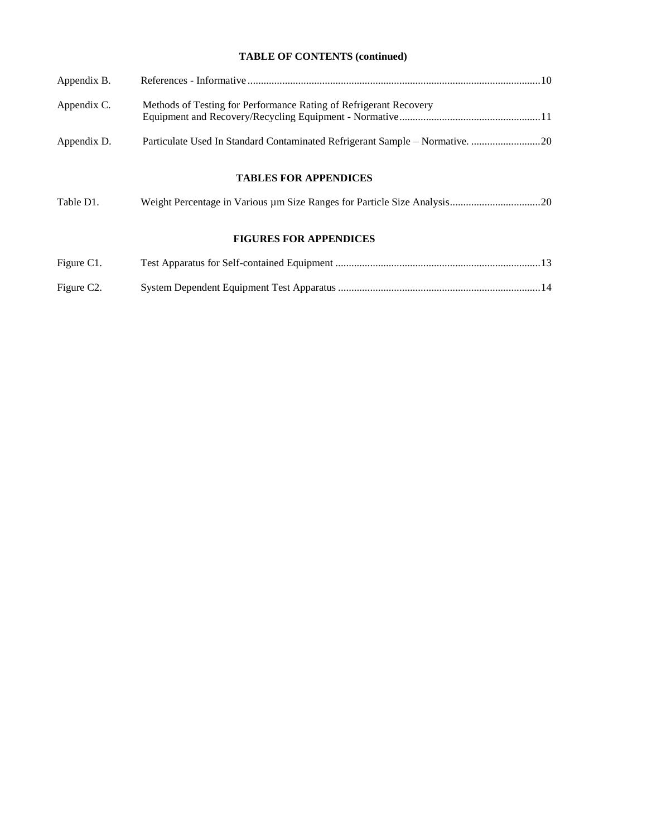### **TABLE OF CONTENTS (continued)**

| Appendix B.             |                                                                               |  |
|-------------------------|-------------------------------------------------------------------------------|--|
| Appendix C.             | Methods of Testing for Performance Rating of Refrigerant Recovery             |  |
| Appendix D.             | Particulate Used In Standard Contaminated Refrigerant Sample – Normative.  20 |  |
|                         | <b>TABLES FOR APPENDICES</b>                                                  |  |
| Table D1.               |                                                                               |  |
|                         | <b>FIGURES FOR APPENDICES</b>                                                 |  |
| Figure C1.              |                                                                               |  |
| Figure C <sub>2</sub> . |                                                                               |  |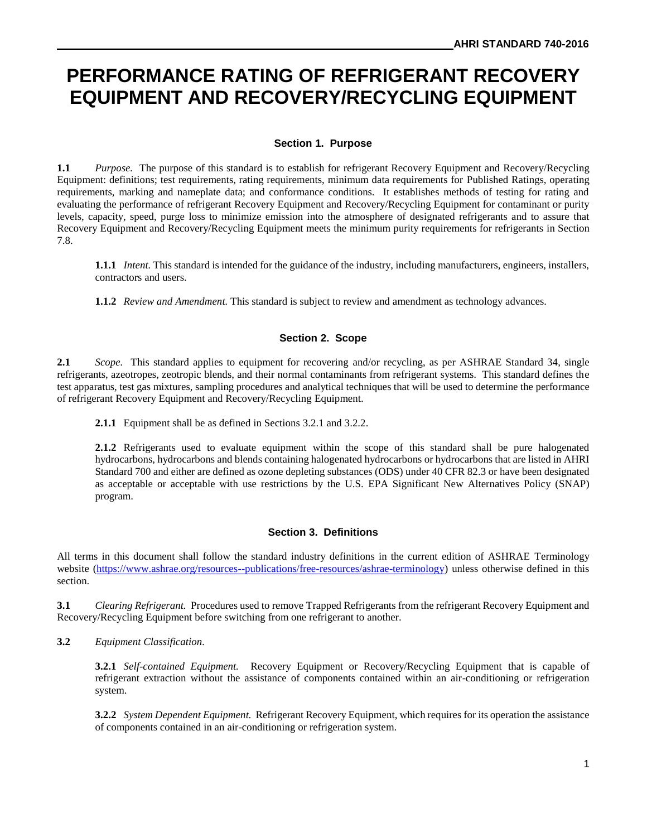### **PERFORMANCE RATING OF REFRIGERANT RECOVERY EQUIPMENT AND RECOVERY/RECYCLING EQUIPMENT**

#### **Section 1. Purpose**

**1.1** *Purpose.* The purpose of this standard is to establish for refrigerant Recovery Equipment and Recovery/Recycling Equipment: definitions; test requirements, rating requirements, minimum data requirements for Published Ratings, operating requirements, marking and nameplate data; and conformance conditions. It establishes methods of testing for rating and evaluating the performance of refrigerant Recovery Equipment and Recovery/Recycling Equipment for contaminant or purity levels, capacity, speed, purge loss to minimize emission into the atmosphere of designated refrigerants and to assure that Recovery Equipment and Recovery/Recycling Equipment meets the minimum purity requirements for refrigerants in Section 7.8.

**1.1.1** *Intent.* This standard is intended for the guidance of the industry, including manufacturers, engineers, installers, contractors and users.

**1.1.2** *Review and Amendment.* This standard is subject to review and amendment as technology advances.

#### **Section 2. Scope**

**2.1** *Scope.* This standard applies to equipment for recovering and/or recycling, as per ASHRAE Standard 34, single refrigerants, azeotropes, zeotropic blends, and their normal contaminants from refrigerant systems. This standard defines the test apparatus, test gas mixtures, sampling procedures and analytical techniques that will be used to determine the performance of refrigerant Recovery Equipment and Recovery/Recycling Equipment.

**2.1.1** Equipment shall be as defined in Sections 3.2.1 and 3.2.2.

**2.1.2** Refrigerants used to evaluate equipment within the scope of this standard shall be pure halogenated hydrocarbons, hydrocarbons and blends containing halogenated hydrocarbons or hydrocarbons that are listed in AHRI Standard 700 and either are defined as ozone depleting substances (ODS) under 40 CFR 82.3 or have been designated as acceptable or acceptable with use restrictions by the U.S. EPA Significant New Alternatives Policy (SNAP) program.

#### **Section 3. Definitions**

All terms in this document shall follow the standard industry definitions in the current edition of ASHRAE Terminology website [\(https://www.ashrae.org/resources--publications/free-resources/ashrae-terminology\)](https://www.ashrae.org/resources--publications/free-resources/ashrae-terminology) unless otherwise defined in this section.

**3.1** *Clearing Refrigerant.* Procedures used to remove Trapped Refrigerants from the refrigerant Recovery Equipment and Recovery/Recycling Equipment before switching from one refrigerant to another.

**3.2** *Equipment Classification.*

**3.2.1** *Self-contained Equipment.* Recovery Equipment or Recovery/Recycling Equipment that is capable of refrigerant extraction without the assistance of components contained within an air-conditioning or refrigeration system.

**3.2.2** *System Dependent Equipment.* Refrigerant Recovery Equipment, which requires for its operation the assistance of components contained in an air-conditioning or refrigeration system.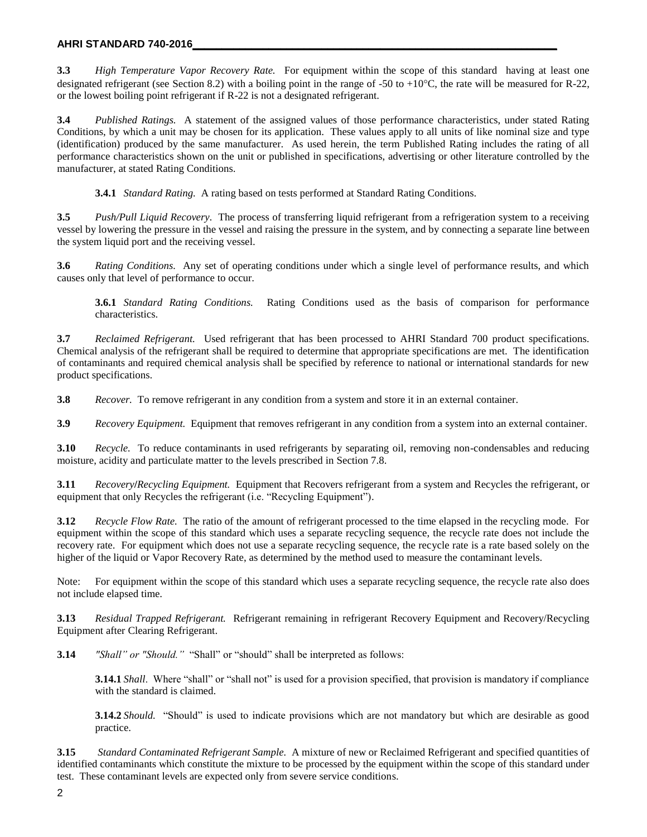#### **AHRI STANDARD 740-2016\_\_\_\_\_\_\_\_\_\_\_\_\_\_\_\_\_\_\_\_\_\_\_\_\_\_\_\_\_\_\_\_\_\_\_\_\_\_\_\_\_\_\_\_\_\_\_\_\_\_\_\_\_\_\_\_\_\_\_\_\_\_**

**3.3** *High Temperature Vapor Recovery Rate.* For equipment within the scope of this standard having at least one designated refrigerant (see Section 8.2) with a boiling point in the range of -50 to +10°C, the rate will be measured for R-22, or the lowest boiling point refrigerant if R-22 is not a designated refrigerant.

**3.4** *Published Ratings.* A statement of the assigned values of those performance characteristics, under stated Rating Conditions, by which a unit may be chosen for its application. These values apply to all units of like nominal size and type (identification) produced by the same manufacturer. As used herein, the term Published Rating includes the rating of all performance characteristics shown on the unit or published in specifications, advertising or other literature controlled by the manufacturer, at stated Rating Conditions.

**3.4.1** *Standard Rating.* A rating based on tests performed at Standard Rating Conditions.

**3.5** *Push/Pull Liquid Recovery.* The process of transferring liquid refrigerant from a refrigeration system to a receiving vessel by lowering the pressure in the vessel and raising the pressure in the system, and by connecting a separate line between the system liquid port and the receiving vessel.

**3.6** *Rating Conditions.* Any set of operating conditions under which a single level of performance results, and which causes only that level of performance to occur.

**3.6.1** *Standard Rating Conditions.* Rating Conditions used as the basis of comparison for performance characteristics.

**3.7** *Reclaimed Refrigerant.* Used refrigerant that has been processed to AHRI Standard 700 product specifications. Chemical analysis of the refrigerant shall be required to determine that appropriate specifications are met. The identification of contaminants and required chemical analysis shall be specified by reference to national or international standards for new product specifications.

**3.8** *Recover.* To remove refrigerant in any condition from a system and store it in an external container.

**3.9** *Recovery Equipment.* Equipment that removes refrigerant in any condition from a system into an external container.

**3.10** *Recycle.* To reduce contaminants in used refrigerants by separating oil, removing non-condensables and reducing moisture, acidity and particulate matter to the levels prescribed in Section 7.8.

**3.11** *Recovery***/***Recycling Equipment.* Equipment that Recovers refrigerant from a system and Recycles the refrigerant, or equipment that only Recycles the refrigerant (i.e. "Recycling Equipment").

**3.12** *Recycle Flow Rate.* The ratio of the amount of refrigerant processed to the time elapsed in the recycling mode. For equipment within the scope of this standard which uses a separate recycling sequence, the recycle rate does not include the recovery rate. For equipment which does not use a separate recycling sequence, the recycle rate is a rate based solely on the higher of the liquid or Vapor Recovery Rate, as determined by the method used to measure the contaminant levels.

Note: For equipment within the scope of this standard which uses a separate recycling sequence, the recycle rate also does not include elapsed time.

**3.13** *Residual Trapped Refrigerant.* Refrigerant remaining in refrigerant Recovery Equipment and Recovery/Recycling Equipment after Clearing Refrigerant.

**3.14** *"Shall" or "Should."* "Shall" or "should" shall be interpreted as follows:

**3.14.1** *Shall*. Where "shall" or "shall not" is used for a provision specified, that provision is mandatory if compliance with the standard is claimed.

**3.14.2** *Should.* "Should" is used to indicate provisions which are not mandatory but which are desirable as good practice.

**3.15** *Standard Contaminated Refrigerant Sample.* A mixture of new or Reclaimed Refrigerant and specified quantities of identified contaminants which constitute the mixture to be processed by the equipment within the scope of this standard under test. These contaminant levels are expected only from severe service conditions.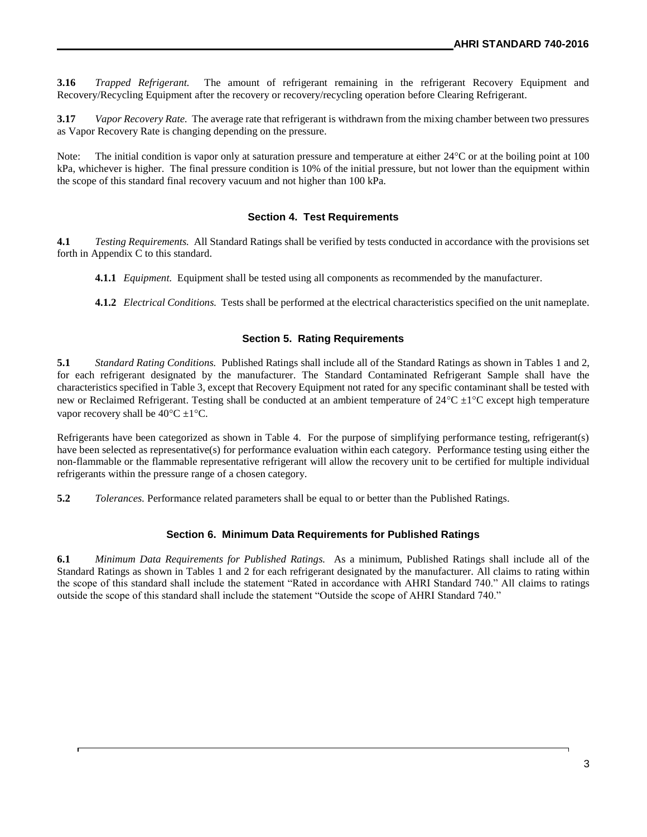**3.16** *Trapped Refrigerant.* The amount of refrigerant remaining in the refrigerant Recovery Equipment and Recovery/Recycling Equipment after the recovery or recovery/recycling operation before Clearing Refrigerant.

**3.17** *Vapor Recovery Rate.* The average rate that refrigerant is withdrawn from the mixing chamber between two pressures as Vapor Recovery Rate is changing depending on the pressure.

Note: The initial condition is vapor only at saturation pressure and temperature at either  $24^{\circ}$ C or at the boiling point at 100 kPa, whichever is higher. The final pressure condition is 10% of the initial pressure, but not lower than the equipment within the scope of this standard final recovery vacuum and not higher than 100 kPa.

#### **Section 4. Test Requirements**

**4.1** *Testing Requirements.* All Standard Ratings shall be verified by tests conducted in accordance with the provisions set forth in Appendix C to this standard.

**4.1.1** *Equipment.* Equipment shall be tested using all components as recommended by the manufacturer.

**4.1.2** *Electrical Conditions.* Tests shall be performed at the electrical characteristics specified on the unit nameplate.

#### **Section 5. Rating Requirements**

**5.1** *Standard Rating Conditions.* Published Ratings shall include all of the Standard Ratings as shown in Tables 1 and 2, for each refrigerant designated by the manufacturer. The Standard Contaminated Refrigerant Sample shall have the characteristics specified in Table 3, except that Recovery Equipment not rated for any specific contaminant shall be tested with new or Reclaimed Refrigerant. Testing shall be conducted at an ambient temperature of  $24^{\circ}C \pm 1^{\circ}C$  except high temperature vapor recovery shall be  $40^{\circ}C \pm 1^{\circ}C$ .

Refrigerants have been categorized as shown in Table 4. For the purpose of simplifying performance testing, refrigerant(s) have been selected as representative(s) for performance evaluation within each category. Performance testing using either the non-flammable or the flammable representative refrigerant will allow the recovery unit to be certified for multiple individual refrigerants within the pressure range of a chosen category.

**5.2** *Tolerances.* Performance related parameters shall be equal to or better than the Published Ratings.

#### **Section 6. Minimum Data Requirements for Published Ratings**

**6.1** *Minimum Data Requirements for Published Ratings.* As a minimum, Published Ratings shall include all of the Standard Ratings as shown in Tables 1 and 2 for each refrigerant designated by the manufacturer. All claims to rating within the scope of this standard shall include the statement "Rated in accordance with AHRI Standard 740." All claims to ratings outside the scope of this standard shall include the statement "Outside the scope of AHRI Standard 740."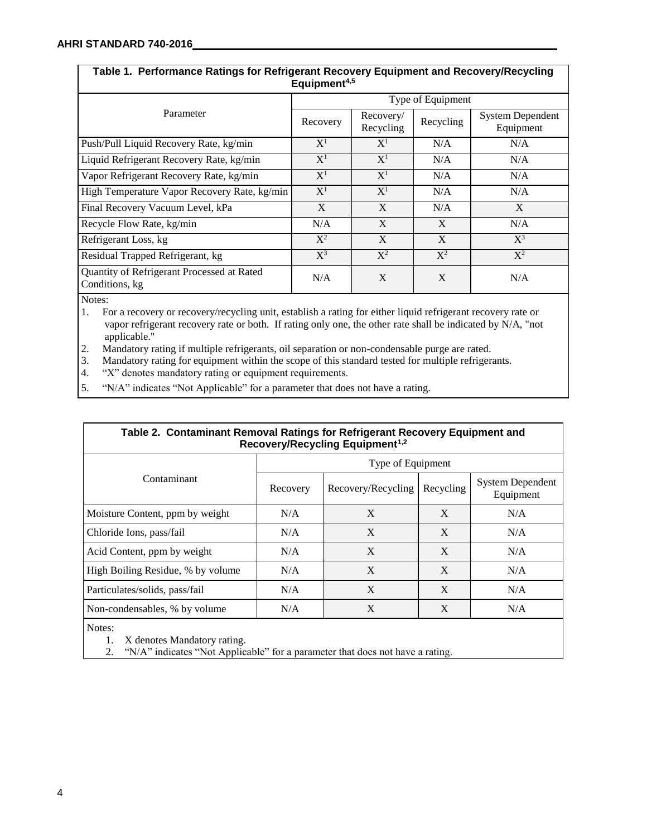$\Gamma$ 

| Table 1. Performance Ratings for Refrigerant Recovery Equipment and Recovery/Recycling<br>Equipment <sup>4,5</sup> |                |                        |           |                                      |  |  |  |  |  |  |
|--------------------------------------------------------------------------------------------------------------------|----------------|------------------------|-----------|--------------------------------------|--|--|--|--|--|--|
|                                                                                                                    |                | Type of Equipment      |           |                                      |  |  |  |  |  |  |
| Parameter                                                                                                          | Recovery       | Recovery/<br>Recycling | Recycling | <b>System Dependent</b><br>Equipment |  |  |  |  |  |  |
| Push/Pull Liquid Recovery Rate, kg/min                                                                             | $\mathrm{X}^1$ | $X^1$                  | N/A       | N/A                                  |  |  |  |  |  |  |
| Liquid Refrigerant Recovery Rate, kg/min                                                                           | $X^1$          | $X^1$                  | N/A       | N/A                                  |  |  |  |  |  |  |
| Vapor Refrigerant Recovery Rate, kg/min                                                                            | $X^1$          | $X^1$                  | N/A       | N/A                                  |  |  |  |  |  |  |
| High Temperature Vapor Recovery Rate, kg/min                                                                       | $X^1$          | $X^1$                  | N/A       | N/A                                  |  |  |  |  |  |  |
| Final Recovery Vacuum Level, kPa                                                                                   | X              | X                      | N/A       | X                                    |  |  |  |  |  |  |
| Recycle Flow Rate, kg/min                                                                                          | N/A            | X                      | X         | N/A                                  |  |  |  |  |  |  |
| Refrigerant Loss, kg                                                                                               | $X^2$          | X                      | X         | $X^3$                                |  |  |  |  |  |  |
| Residual Trapped Refrigerant, kg                                                                                   | $X^3$          | $X^2$                  | $X^2$     | $X^2$                                |  |  |  |  |  |  |
| Quantity of Refrigerant Processed at Rated<br>Conditions, kg                                                       | N/A            | X                      | X         | N/A                                  |  |  |  |  |  |  |

Notes:

1. For a recovery or recovery/recycling unit, establish a rating for either liquid refrigerant recovery rate or vapor refrigerant recovery rate or both. If rating only one, the other rate shall be indicated by N/A, "not applicable."

2. Mandatory rating if multiple refrigerants, oil separation or non-condensable purge are rated.

3. Mandatory rating for equipment within the scope of this standard tested for multiple refrigerants.<br>4. "X" denotes mandatory rating or equipment requirements.

"X" denotes mandatory rating or equipment requirements.

5. "N/A" indicates "Not Applicable" for a parameter that does not have a rating.

| Table 2. Contaminant Removal Ratings for Refrigerant Recovery Equipment and<br>Recovery/Recycling Equipment <sup>1,2</sup> |                   |                    |           |                                      |  |  |  |  |
|----------------------------------------------------------------------------------------------------------------------------|-------------------|--------------------|-----------|--------------------------------------|--|--|--|--|
|                                                                                                                            | Type of Equipment |                    |           |                                      |  |  |  |  |
| Contaminant                                                                                                                | Recovery          | Recovery/Recycling | Recycling | <b>System Dependent</b><br>Equipment |  |  |  |  |
| Moisture Content, ppm by weight                                                                                            | N/A               | X                  | X         | N/A                                  |  |  |  |  |
| Chloride Ions, pass/fail                                                                                                   | N/A               | X                  | X         | N/A                                  |  |  |  |  |
| Acid Content, ppm by weight                                                                                                | N/A               | X                  | X         | N/A                                  |  |  |  |  |
| High Boiling Residue, % by volume                                                                                          | N/A               | X                  | X         | N/A                                  |  |  |  |  |
| Particulates/solids, pass/fail                                                                                             | N/A               | X                  | X         | N/A                                  |  |  |  |  |
| Non-condensables, % by volume                                                                                              | N/A               | X                  | X         | N/A                                  |  |  |  |  |
| Notes:<br>X denotes Mandatory rating.                                                                                      |                   |                    |           |                                      |  |  |  |  |

2. "N/A" indicates "Not Applicable" for a parameter that does not have a rating.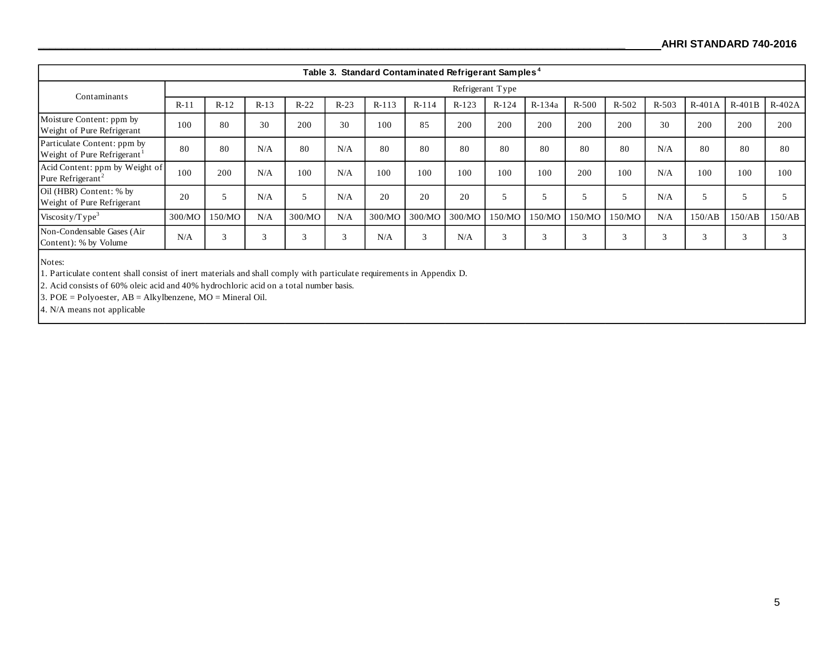| Table 3. Standard Contaminated Refrigerant Samples <sup>4</sup> |                  |        |        |        |        |         |               |         |         |          |              |           |           |          |          |          |
|-----------------------------------------------------------------|------------------|--------|--------|--------|--------|---------|---------------|---------|---------|----------|--------------|-----------|-----------|----------|----------|----------|
| Contaminants                                                    | Refrigerant Type |        |        |        |        |         |               |         |         |          |              |           |           |          |          |          |
|                                                                 | $R-1$            | $R-12$ | $R-13$ | $R-22$ | $R-23$ | $R-113$ | $R-114$       | $R-123$ | $R-124$ | $R-134a$ | $R-500$      | $R - 502$ | $R - 503$ | $R-401A$ | $R-401B$ | $R-402A$ |
| Moisture Content: ppm by<br><b>Weight of Pure Refrigerant</b>   | 100              | 80     | 30     | 200    | 30     | 100     | 85            | 200     | 200     | 200      | 200          | 200       | 30        | 200      | 200      | 200      |
| Particulate Content: ppm by<br>Weight of Pure Refrigerant       | 80               | 80     | N/A    | 80     | N/A    | 80      | 80            | 80      | 80      | 80       | 80           | 80        | N/A       | 80       | 80       | 80       |
| Acid Content: ppm by Weight of<br>Pure Refrigerant <sup>2</sup> | 100              | 200    | N/A    | 100    | N/A    | 100     | 100           | 100     | 100     | 100      | 200          | 100       | N/A       | 100      | 100      | 100      |
| Oil (HBR) Content: % by<br>Weight of Pure Refrigerant           | 20               |        | N/A    |        | N/A    | 20      | 20            | 20      |         |          |              |           | N/A       |          |          |          |
| $Viscosity/T$ ype <sup>3</sup>                                  | 300/MO           | 150/MO | N/A    | 300/MO | N/A    | 300/MO  | 300/MO        | 300/MO  | 150/MO  | 150/MO   | 150/MO       | 150/MO    | N/A       | 150/AB   | 150/AB   | 150/AB   |
| Non-Condensable Gases (Air<br>Content): % by Volume             | N/A              | 3      | 3      | $\sim$ | $\sim$ | N/A     | $\mathcal{R}$ | N/A     | $\sim$  | $\sim$   | $\mathbf{3}$ | $\sim$    | $\sim$    | $\sim$   | $\sim$   | 3        |

Notes:

1. Particulate content shall consist of inert materials and shall comply with particulate requirements in Appendix D.

2. Acid consists of 60% oleic acid and 40% hydrochloric acid on a total number basis.

3. POE = Polyoester,  $AB = Alkylbenzene$ ,  $MO = Mineral Oil$ .

4. N/A means not applicable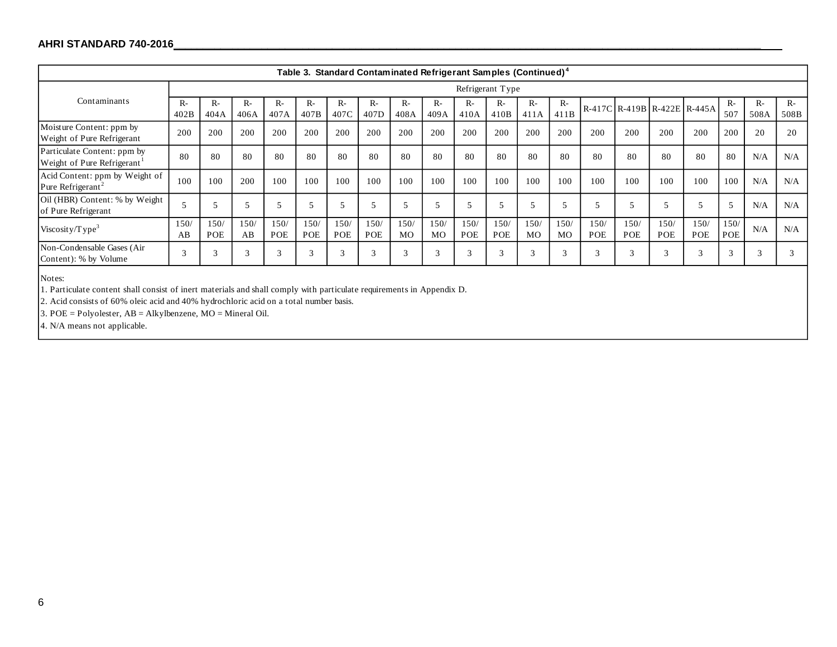#### **AHRI STANDARD 740-2016\_\_\_\_\_\_\_\_\_\_\_\_\_\_\_\_\_\_\_\_\_\_\_\_\_\_\_\_\_\_\_\_\_\_\_\_\_\_\_\_\_\_\_\_\_\_\_\_\_\_\_\_\_\_\_\_\_\_\_\_\_\_\_\_\_\_\_\_\_\_\_\_\_\_\_\_\_\_\_\_\_\_\_\_\_\_\_\_\_\_\_\_\_\_\_\_\_\_\_\_**

|                                                                        | Table 3. Standard Contaminated Refrigerant Samples (Continued) <sup>4</sup> |                  |              |              |              |              |              |              |              |             |             |                        |            |                    |             |             |                             |             |              |              |
|------------------------------------------------------------------------|-----------------------------------------------------------------------------|------------------|--------------|--------------|--------------|--------------|--------------|--------------|--------------|-------------|-------------|------------------------|------------|--------------------|-------------|-------------|-----------------------------|-------------|--------------|--------------|
|                                                                        |                                                                             | Refrigerant Type |              |              |              |              |              |              |              |             |             |                        |            |                    |             |             |                             |             |              |              |
| Contaminants                                                           | $R-$<br>402B                                                                | R-<br>404A       | $R-$<br>406A | $R-$<br>407A | $R-$<br>407B | $R-$<br>407C | $R-$<br>407D | $R-$<br>408A | $R-$<br>409A | R-<br>410A  | R-<br>410B  | $R-$<br>411A           | R-<br>411B |                    |             |             | R-417C R-419B R-422E R-445A | $R-$<br>507 | $R-$<br>508A | $R-$<br>508B |
| Moisture Content: ppm by<br>Weight of Pure Refrigerant                 | 200                                                                         | 200              | 200          | 200          | 200          | 200          | 200          | 200          | 200          | 200         | 200         | 200                    | 200        | 200                | 200         | 200         | 200                         | 200         | 20           | 20           |
| Particulate Content: ppm by<br>Weight of Pure Refrigerant <sup>1</sup> | 80                                                                          | 80               | 80           | 80           | 80           | 80           | 80           | 80           | 80           | 80          | 80          | 80                     | 80         | 80                 | 80          | 80          | 80                          | 80          | N/A          | N/A          |
| Acid Content: ppm by Weight of<br>Pure Refrigerant <sup>2</sup>        | 100                                                                         | 100              | 200          | 100          | 100          | 100          | 100          | 100          | 100          | 100         | 100         | 100                    | 100        | 100                | 100         | 100         | 100                         | 100         | N/A          | N/A          |
| Oil (HBR) Content: % by Weight<br>of Pure Refrigerant                  | 5                                                                           |                  |              |              |              |              |              |              |              | $\tilde{}$  |             | 5                      |            |                    |             |             |                             |             | N/A          | N/A          |
| Viscosity/Type <sup>3</sup>                                            | 150/<br>AB                                                                  | 150/<br>POE      | 150/<br>AB   | 150/<br>POE  | 150<br>POE   | 150/<br>POE  | 150/<br>POE  | 150/<br>MO   | 150/<br>MO   | 150/<br>POE | 150/<br>POE | 150/<br>M <sub>O</sub> | 150/<br>MO | 150/<br><b>POE</b> | 150/<br>POE | 150/<br>POE | 150/<br>POE                 | 150<br>POE  | N/A          | N/A          |
| Non-Condensable Gases (Air<br>Content): % by Volume                    | $\overline{3}$                                                              | $\mathcal{R}$    | $\sim$       | 3            | 3            | $\sim$       | 3            | 3            |              | 3           | $\sim$      | $\mathbf{3}$           | 3          | 3                  | $\sim$      | $\sim$      | 3                           | 3           | 3            | $\mathbf{3}$ |

Notes:

1. Particulate content shall consist of inert materials and shall comply with particulate requirements in Appendix D.

2. Acid consists of 60% oleic acid and 40% hydrochloric acid on a total number basis.

3. POE = Polyolester,  $AB = Alkylbenzene$ ,  $MO = Mineral Oil$ .

4. N/A means not applicable.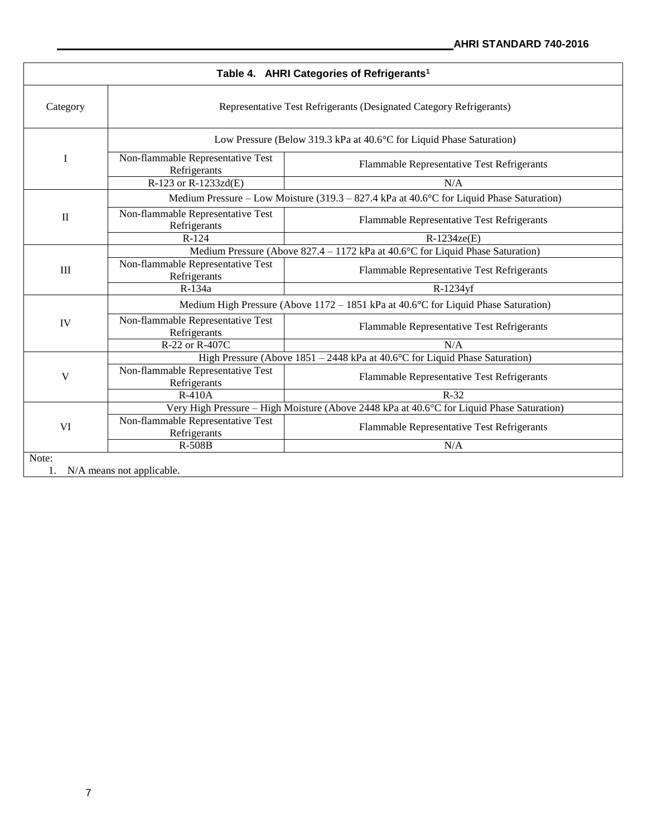| Table 4. AHRI Categories of Refrigerants <sup>1</sup> |                                                                                |                                                                                                                   |  |  |  |  |  |  |
|-------------------------------------------------------|--------------------------------------------------------------------------------|-------------------------------------------------------------------------------------------------------------------|--|--|--|--|--|--|
| Category                                              | Representative Test Refrigerants (Designated Category Refrigerants)            |                                                                                                                   |  |  |  |  |  |  |
|                                                       | Low Pressure (Below 319.3 kPa at 40.6°C for Liquid Phase Saturation)           |                                                                                                                   |  |  |  |  |  |  |
| I                                                     | Non-flammable Representative Test<br>Refrigerants                              | Flammable Representative Test Refrigerants                                                                        |  |  |  |  |  |  |
|                                                       | R-123 or R-1233zd(E)                                                           | N/A                                                                                                               |  |  |  |  |  |  |
|                                                       |                                                                                | Medium Pressure – Low Moisture $(319.3 - 827.4 \text{ kPa at } 40.6^{\circ}\text{C}$ for Liquid Phase Saturation) |  |  |  |  |  |  |
| $\mathbf{I}$                                          | Non-flammable Representative Test<br>Refrigerants                              | Flammable Representative Test Refrigerants                                                                        |  |  |  |  |  |  |
|                                                       | $R-124$                                                                        | $R-1234ze(E)$                                                                                                     |  |  |  |  |  |  |
|                                                       | Medium Pressure (Above 827.4 – 1172 kPa at 40.6°C for Liquid Phase Saturation) |                                                                                                                   |  |  |  |  |  |  |
| III                                                   | Non-flammable Representative Test<br>Refrigerants                              | Flammable Representative Test Refrigerants                                                                        |  |  |  |  |  |  |
|                                                       | R-134a                                                                         | R-1234yf                                                                                                          |  |  |  |  |  |  |
|                                                       |                                                                                | Medium High Pressure (Above 1172 – 1851 kPa at 40.6°C for Liquid Phase Saturation)                                |  |  |  |  |  |  |
| IV                                                    | Non-flammable Representative Test<br>Refrigerants                              | Flammable Representative Test Refrigerants                                                                        |  |  |  |  |  |  |
|                                                       | R-22 or R-407C                                                                 | N/A                                                                                                               |  |  |  |  |  |  |
|                                                       |                                                                                | High Pressure (Above $1851 - 2448$ kPa at $40.6^{\circ}$ C for Liquid Phase Saturation)                           |  |  |  |  |  |  |
| V                                                     | Non-flammable Representative Test<br>Refrigerants                              | Flammable Representative Test Refrigerants                                                                        |  |  |  |  |  |  |
|                                                       | <b>R-410A</b>                                                                  | $R-32$                                                                                                            |  |  |  |  |  |  |
|                                                       |                                                                                | Very High Pressure – High Moisture (Above 2448 kPa at 40.6°C for Liquid Phase Saturation)                         |  |  |  |  |  |  |
| <b>VI</b>                                             | Non-flammable Representative Test                                              |                                                                                                                   |  |  |  |  |  |  |
|                                                       | Refrigerants                                                                   | Flammable Representative Test Refrigerants                                                                        |  |  |  |  |  |  |
| <b>R-508B</b><br>N/A                                  |                                                                                |                                                                                                                   |  |  |  |  |  |  |
| Note:                                                 |                                                                                |                                                                                                                   |  |  |  |  |  |  |
|                                                       | N/A means not applicable.                                                      |                                                                                                                   |  |  |  |  |  |  |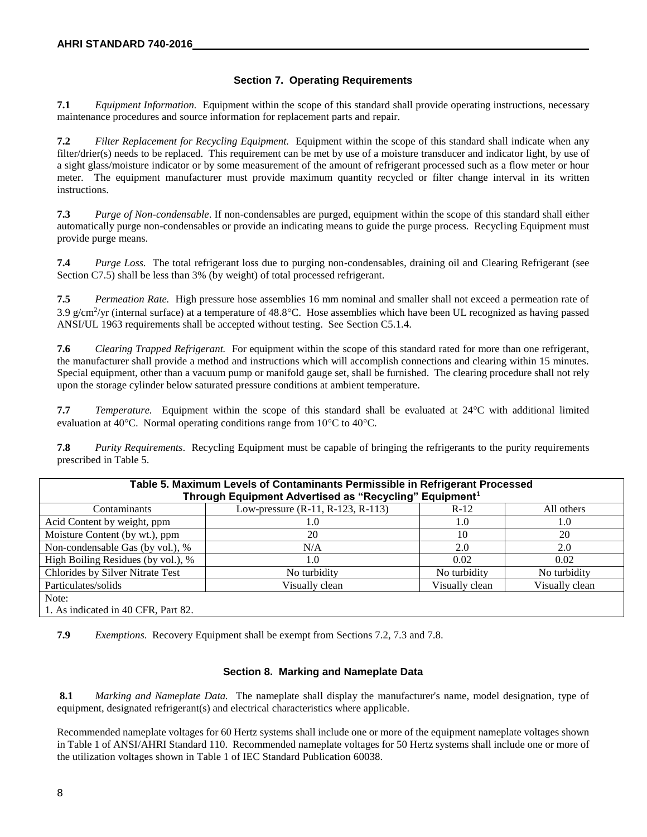#### **Section 7. Operating Requirements**

**7.1** *Equipment Information.* Equipment within the scope of this standard shall provide operating instructions, necessary maintenance procedures and source information for replacement parts and repair.

**7.2** *Filter Replacement for Recycling Equipment.* Equipment within the scope of this standard shall indicate when any filter/drier(s) needs to be replaced. This requirement can be met by use of a moisture transducer and indicator light, by use of a sight glass/moisture indicator or by some measurement of the amount of refrigerant processed such as a flow meter or hour meter. The equipment manufacturer must provide maximum quantity recycled or filter change interval in its written instructions.

**7.3** *Purge of Non-condensable*. If non-condensables are purged, equipment within the scope of this standard shall either automatically purge non-condensables or provide an indicating means to guide the purge process. Recycling Equipment must provide purge means.

**7.4** *Purge Loss.* The total refrigerant loss due to purging non-condensables, draining oil and Clearing Refrigerant (see Section C7.5) shall be less than 3% (by weight) of total processed refrigerant.

**7.5** *Permeation Rate.* High pressure hose assemblies 16 mm nominal and smaller shall not exceed a permeation rate of 3.9 g/cm<sup>2</sup>/yr (internal surface) at a temperature of 48.8°C. Hose assemblies which have been UL recognized as having passed ANSI/UL 1963 requirements shall be accepted without testing. See Section C5.1.4.

**7.6** *Clearing Trapped Refrigerant.* For equipment within the scope of this standard rated for more than one refrigerant, the manufacturer shall provide a method and instructions which will accomplish connections and clearing within 15 minutes. Special equipment, other than a vacuum pump or manifold gauge set, shall be furnished. The clearing procedure shall not rely upon the storage cylinder below saturated pressure conditions at ambient temperature.

**7.7** *Temperature.* Equipment within the scope of this standard shall be evaluated at 24C with additional limited evaluation at 40 $^{\circ}$ C. Normal operating conditions range from 10 $^{\circ}$ C to 40 $^{\circ}$ C.

**7.8** *Purity Requirements*. Recycling Equipment must be capable of bringing the refrigerants to the purity requirements prescribed in Table 5.

| Table 5. Maximum Levels of Contaminants Permissible in Refrigerant Processed<br>Through Equipment Advertised as "Recycling" Equipment <sup>1</sup> |                                   |                |                |  |  |  |  |  |
|----------------------------------------------------------------------------------------------------------------------------------------------------|-----------------------------------|----------------|----------------|--|--|--|--|--|
| Contaminants                                                                                                                                       | Low-pressure (R-11, R-123, R-113) | $R-12$         | All others     |  |  |  |  |  |
| Acid Content by weight, ppm                                                                                                                        | 1.0                               | 1.0            | 1.0            |  |  |  |  |  |
| Moisture Content (by wt.), ppm                                                                                                                     | 20                                | 10             | 20             |  |  |  |  |  |
| Non-condensable Gas (by vol.), %                                                                                                                   | N/A                               | 2.0            | 2.0            |  |  |  |  |  |
| High Boiling Residues (by vol.), %                                                                                                                 | 1.0                               | 0.02           | 0.02           |  |  |  |  |  |
| Chlorides by Silver Nitrate Test                                                                                                                   | No turbidity                      | No turbidity   | No turbidity   |  |  |  |  |  |
| Particulates/solids                                                                                                                                | Visually clean                    | Visually clean | Visually clean |  |  |  |  |  |
| Note:                                                                                                                                              |                                   |                |                |  |  |  |  |  |
| 1. As indicated in 40 CFR, Part 82.                                                                                                                |                                   |                |                |  |  |  |  |  |

**7.9** *Exemptions*. Recovery Equipment shall be exempt from Sections 7.2, 7.3 and 7.8.

#### **Section 8. Marking and Nameplate Data**

**8.1** *Marking and Nameplate Data.* The nameplate shall display the manufacturer's name, model designation, type of equipment, designated refrigerant(s) and electrical characteristics where applicable.

Recommended nameplate voltages for 60 Hertz systems shall include one or more of the equipment nameplate voltages shown in Table 1 of ANSI/AHRI Standard 110. Recommended nameplate voltages for 50 Hertz systems shall include one or more of the utilization voltages shown in Table 1 of IEC Standard Publication 60038.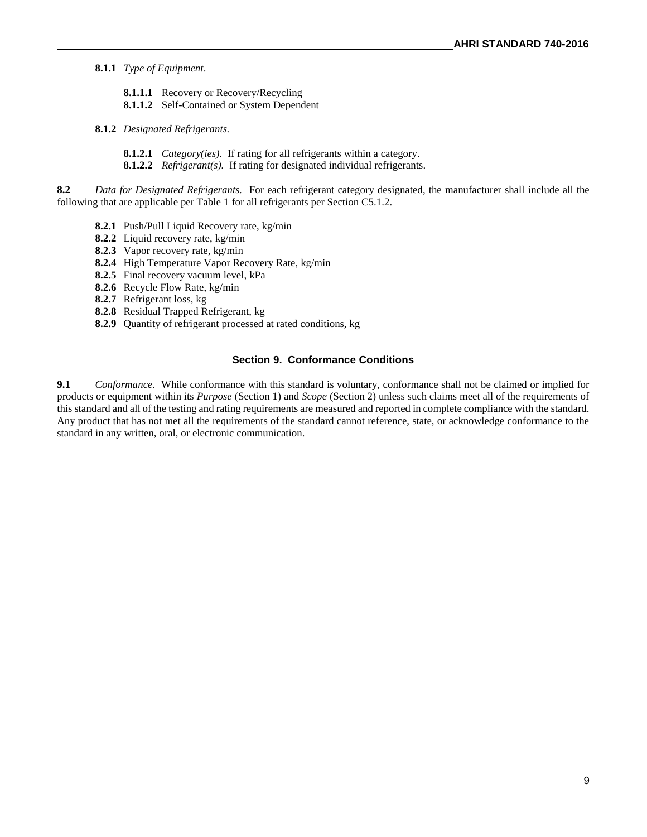**8.1.1** *Type of Equipment*.

- **8.1.1.1** Recovery or Recovery/Recycling
- **8.1.1.2** Self-Contained or System Dependent
- **8.1.2** *Designated Refrigerants.*
	- **8.1.2.1** *Category(ies).* If rating for all refrigerants within a category.
	- **8.1.2.2** *Refrigerant(s).* If rating for designated individual refrigerants.

**8.2** *Data for Designated Refrigerants.* For each refrigerant category designated, the manufacturer shall include all the following that are applicable per Table 1 for all refrigerants per Section C5.1.2.

- **8.2.1** Push/Pull Liquid Recovery rate, kg/min
- **8.2.2** Liquid recovery rate, kg/min
- **8.2.3** Vapor recovery rate, kg/min
- **8.2.4** High Temperature Vapor Recovery Rate, kg/min
- **8.2.5** Final recovery vacuum level, kPa
- **8.2.6** Recycle Flow Rate, kg/min
- **8.2.7** Refrigerant loss, kg
- **8.2.8** Residual Trapped Refrigerant, kg
- **8.2.9** Quantity of refrigerant processed at rated conditions, kg

#### **Section 9. Conformance Conditions**

**9.1** *Conformance.* While conformance with this standard is voluntary, conformance shall not be claimed or implied for products or equipment within its *Purpose* (Section 1) and *Scope* (Section 2) unless such claims meet all of the requirements of this standard and all of the testing and rating requirements are measured and reported in complete compliance with the standard. Any product that has not met all the requirements of the standard cannot reference, state, or acknowledge conformance to the standard in any written, oral, or electronic communication.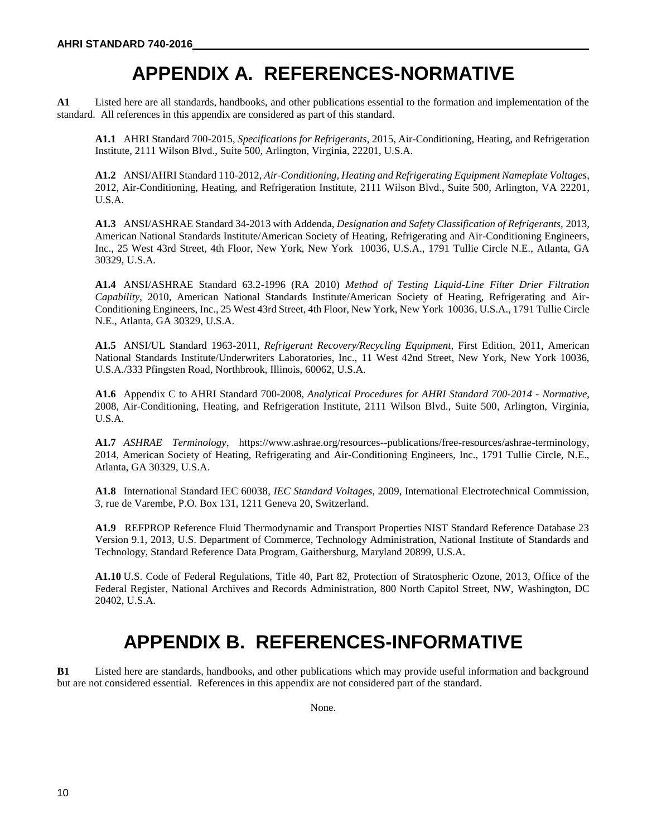# **APPENDIX A. REFERENCES-NORMATIVE**

**A1** Listed here are all standards, handbooks, and other publications essential to the formation and implementation of the standard. All references in this appendix are considered as part of this standard.

**A1.1** AHRI Standard 700-2015, *Specifications for Refrigerants*, 2015, Air-Conditioning, Heating, and Refrigeration Institute, 2111 Wilson Blvd., Suite 500, Arlington, Virginia, 22201, U.S.A.

**A1.2** ANSI/AHRI Standard 110-2012, *Air-Conditioning, Heating and Refrigerating Equipment Nameplate Voltages*, 2012, Air-Conditioning, Heating, and Refrigeration Institute, 2111 Wilson Blvd., Suite 500, Arlington, VA 22201, U.S.A.

**A1.3** ANSI/ASHRAE Standard 34-2013 with Addenda, *Designation and Safety Classification of Refrigerants,* 2013, American National Standards Institute/American Society of Heating, Refrigerating and Air-Conditioning Engineers, Inc., 25 West 43rd Street, 4th Floor, New York, New York 10036, U.S.A., 1791 Tullie Circle N.E., Atlanta, GA 30329, U.S.A.

**A1.4** ANSI/ASHRAE Standard 63.2-1996 (RA 2010) *Method of Testing Liquid-Line Filter Drier Filtration Capability*, 2010, American National Standards Institute/American Society of Heating, Refrigerating and Air-Conditioning Engineers, Inc., 25 West 43rd Street, 4th Floor, New York, New York 10036, U.S.A., 1791 Tullie Circle N.E., Atlanta, GA 30329, U.S.A.

**A1.5** ANSI/UL Standard 1963-2011, *Refrigerant Recovery/Recycling Equipment,* First Edition, 2011, American National Standards Institute/Underwriters Laboratories, Inc., 11 West 42nd Street, New York, New York 10036, U.S.A./333 Pfingsten Road, Northbrook, Illinois, 60062, U.S.A.

**A1.6** Appendix C to AHRI Standard 700-2008, *Analytical Procedures for AHRI Standard 700-2014 - Normative*, 2008, Air-Conditioning, Heating, and Refrigeration Institute, 2111 Wilson Blvd., Suite 500, Arlington, Virginia, U.S.A.

**A1.7** *ASHRAE Terminology*, https://www.ashrae.org/resources--publications/free-resources/ashrae-terminology, 2014, American Society of Heating, Refrigerating and Air-Conditioning Engineers, Inc., 1791 Tullie Circle, N.E., Atlanta, GA 30329, U.S.A.

**A1.8** International Standard IEC 60038, *IEC Standard Voltages*, 2009, International Electrotechnical Commission, 3, rue de Varembe, P.O. Box 131, 1211 Geneva 20, Switzerland.

**A1.9** REFPROP Reference Fluid Thermodynamic and Transport Properties NIST Standard Reference Database 23 Version 9.1, 2013, U.S. Department of Commerce, Technology Administration, National Institute of Standards and Technology, Standard Reference Data Program, Gaithersburg, Maryland 20899, U.S.A.

**A1.10** U.S. Code of Federal Regulations, Title 40, Part 82, Protection of Stratospheric Ozone, 2013, Office of the Federal Register, National Archives and Records Administration, 800 North Capitol Street, NW, Washington, DC 20402, U.S.A.

# **APPENDIX B. REFERENCES-INFORMATIVE**

**B1** Listed here are standards, handbooks, and other publications which may provide useful information and background but are not considered essential. References in this appendix are not considered part of the standard.

None.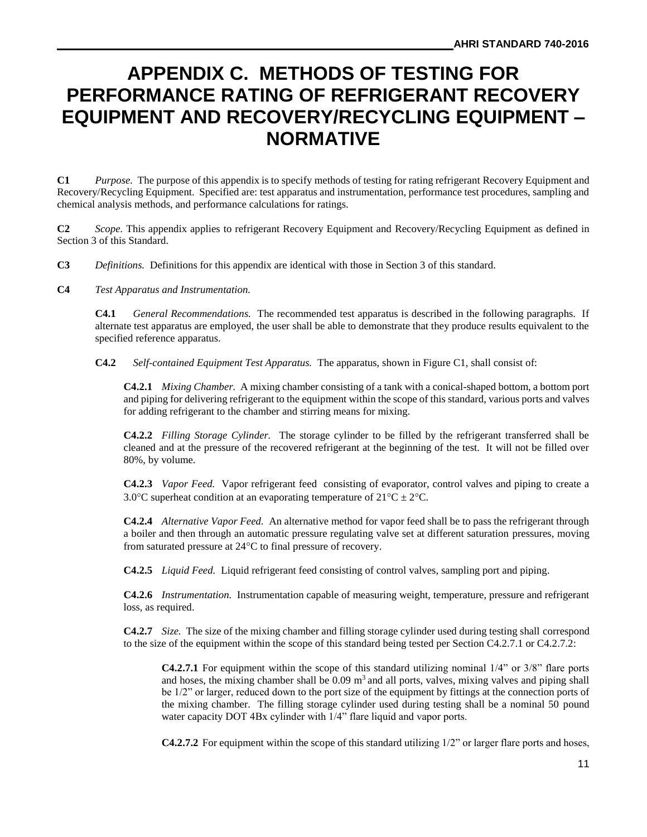## **APPENDIX C. METHODS OF TESTING FOR PERFORMANCE RATING OF REFRIGERANT RECOVERY EQUIPMENT AND RECOVERY/RECYCLING EQUIPMENT – NORMATIVE**

**C1** *Purpose.* The purpose of this appendix is to specify methods of testing for rating refrigerant Recovery Equipment and Recovery/Recycling Equipment. Specified are: test apparatus and instrumentation, performance test procedures, sampling and chemical analysis methods, and performance calculations for ratings.

**C2** *Scope.* This appendix applies to refrigerant Recovery Equipment and Recovery/Recycling Equipment as defined in Section 3 of this Standard.

**C3** *Definitions.* Definitions for this appendix are identical with those in Section 3 of this standard.

**C4** *Test Apparatus and Instrumentation.*

**C4.1** *General Recommendations.* The recommended test apparatus is described in the following paragraphs. If alternate test apparatus are employed, the user shall be able to demonstrate that they produce results equivalent to the specified reference apparatus.

**C4.2** *Self-contained Equipment Test Apparatus.* The apparatus, shown in Figure C1, shall consist of:

**C4.2.1** *Mixing Chamber.* A mixing chamber consisting of a tank with a conical-shaped bottom, a bottom port and piping for delivering refrigerant to the equipment within the scope of this standard, various ports and valves for adding refrigerant to the chamber and stirring means for mixing.

**C4.2.2** *Filling Storage Cylinder.* The storage cylinder to be filled by the refrigerant transferred shall be cleaned and at the pressure of the recovered refrigerant at the beginning of the test. It will not be filled over 80%, by volume.

**C4.2.3** *Vapor Feed.* Vapor refrigerant feed consisting of evaporator, control valves and piping to create a 3.0°C superheat condition at an evaporating temperature of  $21^{\circ}C \pm 2^{\circ}C$ .

**C4.2.4** *Alternative Vapor Feed.* An alternative method for vapor feed shall be to pass the refrigerant through a boiler and then through an automatic pressure regulating valve set at different saturation pressures, moving from saturated pressure at  $24^{\circ}$ C to final pressure of recovery.

**C4.2.5** *Liquid Feed.* Liquid refrigerant feed consisting of control valves, sampling port and piping.

**C4.2.6** *Instrumentation.* Instrumentation capable of measuring weight, temperature, pressure and refrigerant loss, as required.

**C4.2.7** *Size.* The size of the mixing chamber and filling storage cylinder used during testing shall correspond to the size of the equipment within the scope of this standard being tested per Section C4.2.7.1 or C4.2.7.2:

**C4.2.7.1** For equipment within the scope of this standard utilizing nominal 1/4" or 3/8" flare ports and hoses, the mixing chamber shall be  $0.09 \text{ m}^3$  and all ports, valves, mixing valves and piping shall be 1/2" or larger, reduced down to the port size of the equipment by fittings at the connection ports of the mixing chamber. The filling storage cylinder used during testing shall be a nominal 50 pound water capacity DOT 4Bx cylinder with  $1/4$ " flare liquid and vapor ports.

**C4.2.7.2** For equipment within the scope of this standard utilizing 1/2" or larger flare ports and hoses,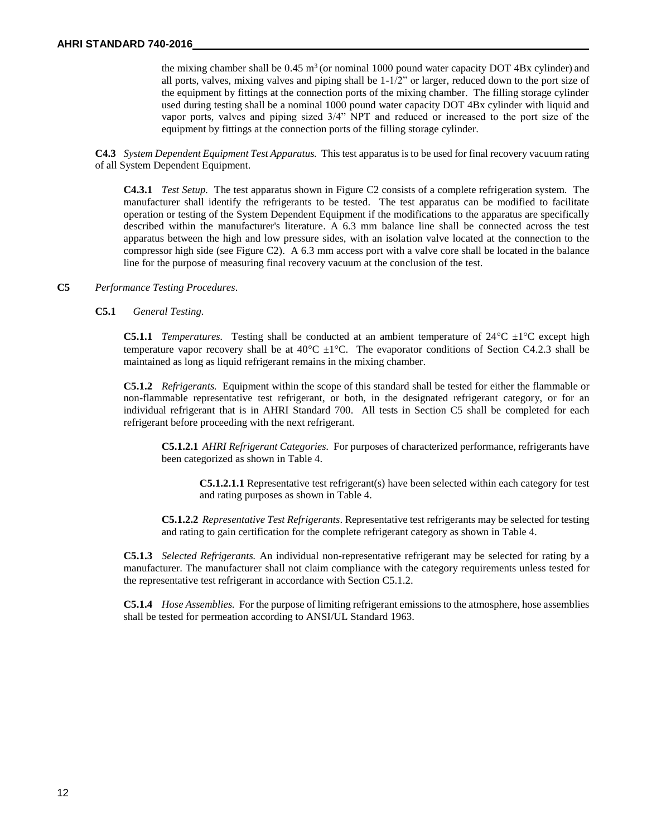the mixing chamber shall be  $0.45 \text{ m}^3$  (or nominal 1000 pound water capacity DOT 4Bx cylinder) and all ports, valves, mixing valves and piping shall be  $1-1/2$ " or larger, reduced down to the port size of the equipment by fittings at the connection ports of the mixing chamber. The filling storage cylinder used during testing shall be a nominal 1000 pound water capacity DOT 4Bx cylinder with liquid and vapor ports, valves and piping sized 3/4" NPT and reduced or increased to the port size of the equipment by fittings at the connection ports of the filling storage cylinder.

**C4.3** *System Dependent Equipment Test Apparatus.* This test apparatus is to be used for final recovery vacuum rating of all System Dependent Equipment.

**C4.3.1** *Test Setup.* The test apparatus shown in Figure C2 consists of a complete refrigeration system. The manufacturer shall identify the refrigerants to be tested. The test apparatus can be modified to facilitate operation or testing of the System Dependent Equipment if the modifications to the apparatus are specifically described within the manufacturer's literature. A 6.3 mm balance line shall be connected across the test apparatus between the high and low pressure sides, with an isolation valve located at the connection to the compressor high side (see Figure C2). A 6.3 mm access port with a valve core shall be located in the balance line for the purpose of measuring final recovery vacuum at the conclusion of the test.

#### **C5** *Performance Testing Procedures*.

#### **C5.1** *General Testing.*

**C5.1.1** *Temperatures.* Testing shall be conducted at an ambient temperature of  $24^{\circ}C \pm 1^{\circ}C$  except high temperature vapor recovery shall be at  $40^{\circ}C \pm 1^{\circ}C$ . The evaporator conditions of Section C4.2.3 shall be maintained as long as liquid refrigerant remains in the mixing chamber.

**C5.1.2** *Refrigerants.* Equipment within the scope of this standard shall be tested for either the flammable or non-flammable representative test refrigerant, or both, in the designated refrigerant category, or for an individual refrigerant that is in AHRI Standard 700. All tests in Section C5 shall be completed for each refrigerant before proceeding with the next refrigerant.

**C5.1.2.1** *AHRI Refrigerant Categories.* For purposes of characterized performance, refrigerants have been categorized as shown in Table 4.

**C5.1.2.1.1** Representative test refrigerant(s) have been selected within each category for test and rating purposes as shown in Table 4.

**C5.1.2.2** *Representative Test Refrigerants*. Representative test refrigerants may be selected for testing and rating to gain certification for the complete refrigerant category as shown in Table 4.

**C5.1.3** *Selected Refrigerants.* An individual non-representative refrigerant may be selected for rating by a manufacturer. The manufacturer shall not claim compliance with the category requirements unless tested for the representative test refrigerant in accordance with Section C5.1.2.

**C5.1.4** *Hose Assemblies.* For the purpose of limiting refrigerant emissions to the atmosphere, hose assemblies shall be tested for permeation according to ANSI/UL Standard 1963.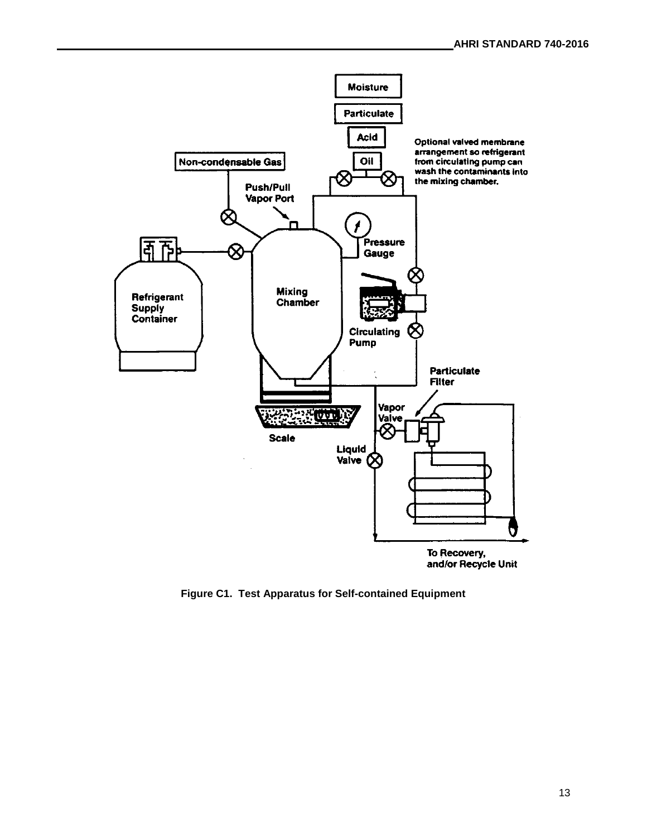

**Figure C1. Test Apparatus for Self-contained Equipment**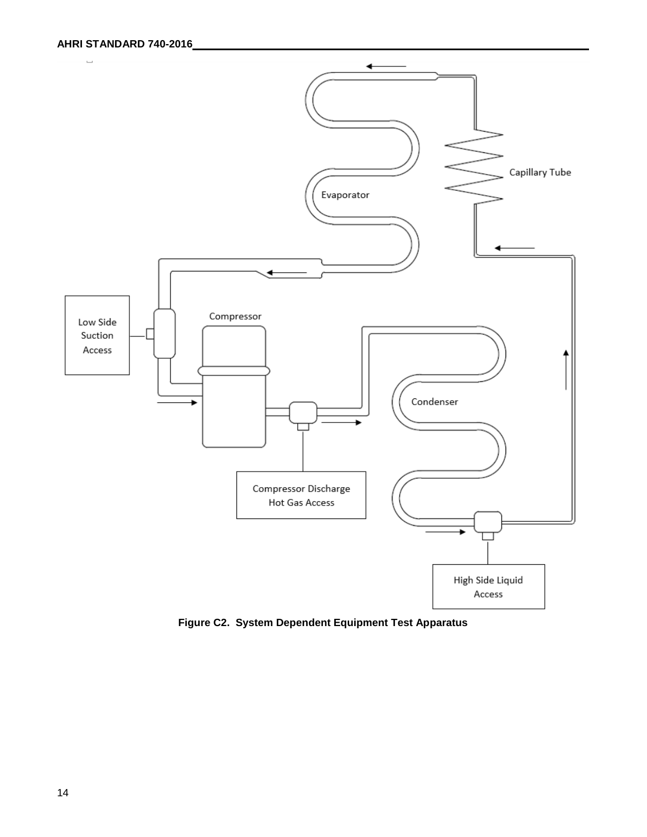

**Figure C2. System Dependent Equipment Test Apparatus**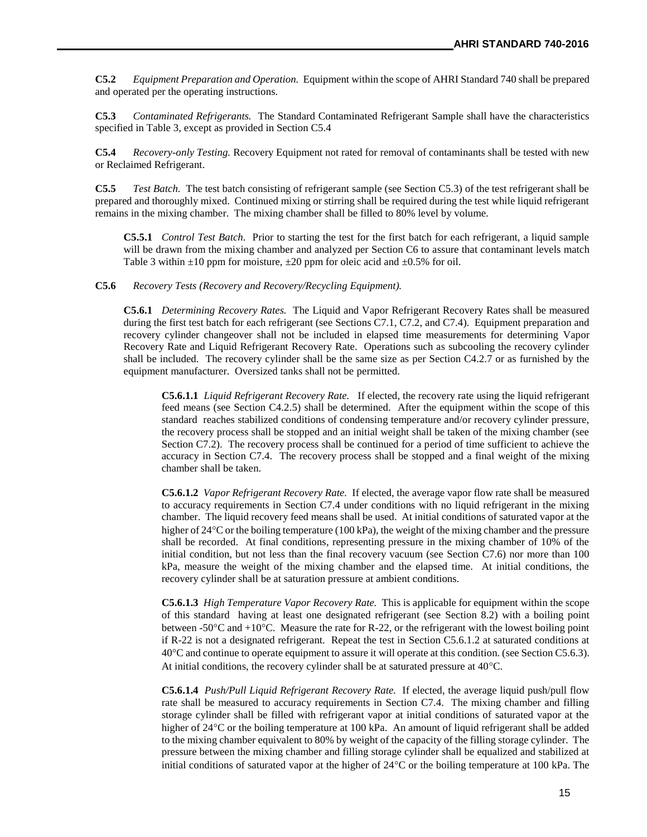**C5.2** *Equipment Preparation and Operation.* Equipment within the scope of AHRI Standard 740 shall be prepared and operated per the operating instructions.

**C5.3** *Contaminated Refrigerants.* The Standard Contaminated Refrigerant Sample shall have the characteristics specified in Table 3, except as provided in Section C5.4

**C5.4** *Recovery-only Testing.* Recovery Equipment not rated for removal of contaminants shall be tested with new or Reclaimed Refrigerant.

**C5.5** *Test Batch.* The test batch consisting of refrigerant sample (see Section C5.3) of the test refrigerant shall be prepared and thoroughly mixed. Continued mixing or stirring shall be required during the test while liquid refrigerant remains in the mixing chamber. The mixing chamber shall be filled to 80% level by volume.

**C5.5.1** *Control Test Batch.* Prior to starting the test for the first batch for each refrigerant, a liquid sample will be drawn from the mixing chamber and analyzed per Section C6 to assure that contaminant levels match Table 3 within  $\pm 10$  ppm for moisture,  $\pm 20$  ppm for oleic acid and  $\pm 0.5$ % for oil.

**C5.6** *Recovery Tests (Recovery and Recovery/Recycling Equipment).*

**C5.6.1** *Determining Recovery Rates.* The Liquid and Vapor Refrigerant Recovery Rates shall be measured during the first test batch for each refrigerant (see Sections C7.1, C7.2, and C7.4). Equipment preparation and recovery cylinder changeover shall not be included in elapsed time measurements for determining Vapor Recovery Rate and Liquid Refrigerant Recovery Rate. Operations such as subcooling the recovery cylinder shall be included. The recovery cylinder shall be the same size as per Section C4.2.7 or as furnished by the equipment manufacturer. Oversized tanks shall not be permitted.

**C5.6.1.1** *Liquid Refrigerant Recovery Rate.* If elected, the recovery rate using the liquid refrigerant feed means (see Section C4.2.5) shall be determined. After the equipment within the scope of this standard reaches stabilized conditions of condensing temperature and/or recovery cylinder pressure, the recovery process shall be stopped and an initial weight shall be taken of the mixing chamber (see Section C7.2). The recovery process shall be continued for a period of time sufficient to achieve the accuracy in Section C7.4. The recovery process shall be stopped and a final weight of the mixing chamber shall be taken.

**C5.6.1.2** *Vapor Refrigerant Recovery Rate.* If elected, the average vapor flow rate shall be measured to accuracy requirements in Section C7.4 under conditions with no liquid refrigerant in the mixing chamber. The liquid recovery feed means shall be used. At initial conditions of saturated vapor at the higher of  $24^{\circ}$ C or the boiling temperature (100 kPa), the weight of the mixing chamber and the pressure shall be recorded. At final conditions, representing pressure in the mixing chamber of 10% of the initial condition, but not less than the final recovery vacuum (see Section C7.6) nor more than 100 kPa, measure the weight of the mixing chamber and the elapsed time. At initial conditions, the recovery cylinder shall be at saturation pressure at ambient conditions.

**C5.6.1.3** *High Temperature Vapor Recovery Rate.* This is applicable for equipment within the scope of this standard having at least one designated refrigerant (see Section 8.2) with a boiling point between -50 $\rm{°C}$  and +10 $\rm{°C}$ . Measure the rate for R-22, or the refrigerant with the lowest boiling point if R-22 is not a designated refrigerant. Repeat the test in Section C5.6.1.2 at saturated conditions at 40C and continue to operate equipment to assure it will operate at this condition. (see Section C5.6.3). At initial conditions, the recovery cylinder shall be at saturated pressure at  $40^{\circ}$ C.

**C5.6.1.4** *Push/Pull Liquid Refrigerant Recovery Rate.* If elected, the average liquid push/pull flow rate shall be measured to accuracy requirements in Section C7.4. The mixing chamber and filling storage cylinder shall be filled with refrigerant vapor at initial conditions of saturated vapor at the higher of 24 °C or the boiling temperature at 100 kPa. An amount of liquid refrigerant shall be added to the mixing chamber equivalent to 80% by weight of the capacity of the filling storage cylinder. The pressure between the mixing chamber and filling storage cylinder shall be equalized and stabilized at initial conditions of saturated vapor at the higher of  $24^{\circ}$ C or the boiling temperature at 100 kPa. The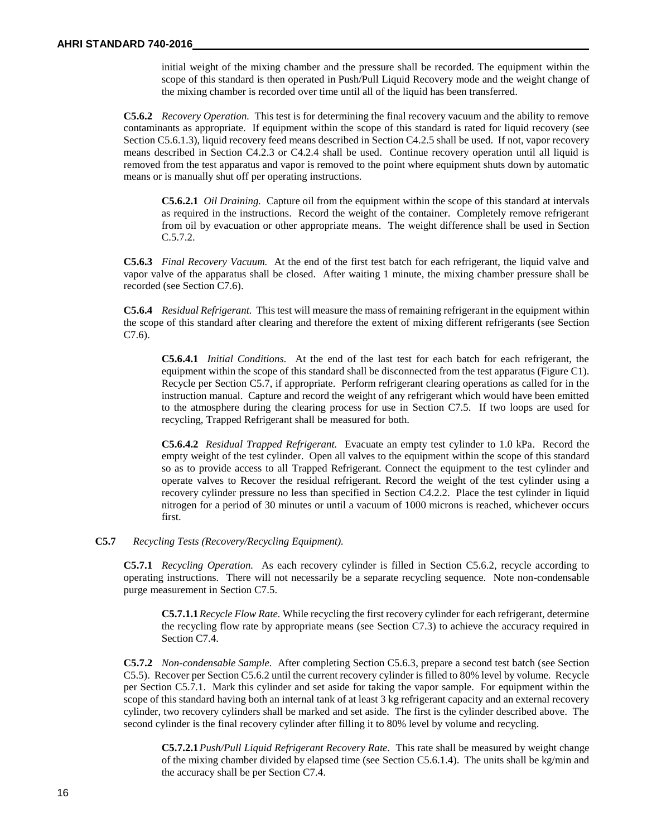initial weight of the mixing chamber and the pressure shall be recorded. The equipment within the scope of this standard is then operated in Push/Pull Liquid Recovery mode and the weight change of the mixing chamber is recorded over time until all of the liquid has been transferred.

**C5.6.2** *Recovery Operation.* This test is for determining the final recovery vacuum and the ability to remove contaminants as appropriate. If equipment within the scope of this standard is rated for liquid recovery (see Section C5.6.1.3), liquid recovery feed means described in Section C4.2.5 shall be used. If not, vapor recovery means described in Section C4.2.3 or C4.2.4 shall be used. Continue recovery operation until all liquid is removed from the test apparatus and vapor is removed to the point where equipment shuts down by automatic means or is manually shut off per operating instructions.

**C5.6.2.1** *Oil Draining.* Capture oil from the equipment within the scope of this standard at intervals as required in the instructions. Record the weight of the container. Completely remove refrigerant from oil by evacuation or other appropriate means. The weight difference shall be used in Section C.5.7.2.

**C5.6.3** *Final Recovery Vacuum.* At the end of the first test batch for each refrigerant, the liquid valve and vapor valve of the apparatus shall be closed. After waiting 1 minute, the mixing chamber pressure shall be recorded (see Section C7.6).

**C5.6.4** *Residual Refrigerant.* This test will measure the mass of remaining refrigerant in the equipment within the scope of this standard after clearing and therefore the extent of mixing different refrigerants (see Section C7.6).

**C5.6.4.1** *Initial Conditions.* At the end of the last test for each batch for each refrigerant, the equipment within the scope of this standard shall be disconnected from the test apparatus (Figure C1). Recycle per Section C5.7, if appropriate. Perform refrigerant clearing operations as called for in the instruction manual. Capture and record the weight of any refrigerant which would have been emitted to the atmosphere during the clearing process for use in Section C7.5. If two loops are used for recycling, Trapped Refrigerant shall be measured for both.

**C5.6.4.2** *Residual Trapped Refrigerant.* Evacuate an empty test cylinder to 1.0 kPa. Record the empty weight of the test cylinder. Open all valves to the equipment within the scope of this standard so as to provide access to all Trapped Refrigerant. Connect the equipment to the test cylinder and operate valves to Recover the residual refrigerant. Record the weight of the test cylinder using a recovery cylinder pressure no less than specified in Section C4.2.2. Place the test cylinder in liquid nitrogen for a period of 30 minutes or until a vacuum of 1000 microns is reached, whichever occurs first.

**C5.7** *Recycling Tests (Recovery/Recycling Equipment).*

**C5.7.1** *Recycling Operation.* As each recovery cylinder is filled in Section C5.6.2, recycle according to operating instructions. There will not necessarily be a separate recycling sequence. Note non-condensable purge measurement in Section C7.5.

**C5.7.1.1***Recycle Flow Rate.* While recycling the first recovery cylinder for each refrigerant, determine the recycling flow rate by appropriate means (see Section C7.3) to achieve the accuracy required in Section C7.4.

**C5.7.2** *Non-condensable Sample.* After completing Section C5.6.3, prepare a second test batch (see Section C5.5). Recover per Section C5.6.2 until the current recovery cylinder is filled to 80% level by volume. Recycle per Section C5.7.1. Mark this cylinder and set aside for taking the vapor sample. For equipment within the scope of this standard having both an internal tank of at least 3 kg refrigerant capacity and an external recovery cylinder, two recovery cylinders shall be marked and set aside. The first is the cylinder described above. The second cylinder is the final recovery cylinder after filling it to 80% level by volume and recycling.

**C5.7.2.1***Push/Pull Liquid Refrigerant Recovery Rate.* This rate shall be measured by weight change of the mixing chamber divided by elapsed time (see Section C5.6.1.4). The units shall be kg/min and the accuracy shall be per Section C7.4.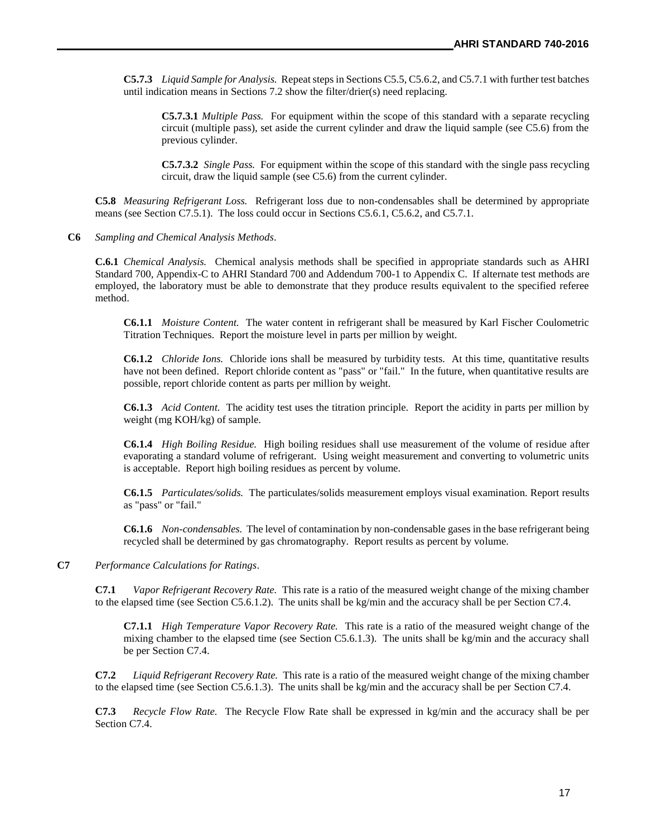**C5.7.3** *Liquid Sample for Analysis.* Repeat steps in Sections C5.5, C5.6.2, and C5.7.1 with further test batches until indication means in Sections 7.2 show the filter/drier(s) need replacing.

**C5.7.3.1** *Multiple Pass.* For equipment within the scope of this standard with a separate recycling circuit (multiple pass), set aside the current cylinder and draw the liquid sample (see C5.6) from the previous cylinder.

**C5.7.3.2** *Single Pass.* For equipment within the scope of this standard with the single pass recycling circuit, draw the liquid sample (see C5.6) from the current cylinder.

**C5.8** *Measuring Refrigerant Loss.* Refrigerant loss due to non-condensables shall be determined by appropriate means (see Section C7.5.1). The loss could occur in Sections C5.6.1, C5.6.2, and C5.7.1.

 **C6** *Sampling and Chemical Analysis Methods*.

**C.6.1** *Chemical Analysis.* Chemical analysis methods shall be specified in appropriate standards such as AHRI Standard 700, Appendix-C to AHRI Standard 700 and Addendum 700-1 to Appendix C. If alternate test methods are employed, the laboratory must be able to demonstrate that they produce results equivalent to the specified referee method.

**C6.1.1** *Moisture Content.* The water content in refrigerant shall be measured by Karl Fischer Coulometric Titration Techniques. Report the moisture level in parts per million by weight.

**C6.1.2** *Chloride Ions.* Chloride ions shall be measured by turbidity tests. At this time, quantitative results have not been defined. Report chloride content as "pass" or "fail." In the future, when quantitative results are possible, report chloride content as parts per million by weight.

**C6.1.3** *Acid Content.* The acidity test uses the titration principle. Report the acidity in parts per million by weight (mg KOH/kg) of sample.

**C6.1.4** *High Boiling Residue.* High boiling residues shall use measurement of the volume of residue after evaporating a standard volume of refrigerant. Using weight measurement and converting to volumetric units is acceptable. Report high boiling residues as percent by volume.

**C6.1.5** *Particulates/solids.* The particulates/solids measurement employs visual examination. Report results as "pass" or "fail."

**C6.1.6** *Non-condensables.* The level of contamination by non-condensable gases in the base refrigerant being recycled shall be determined by gas chromatography. Report results as percent by volume.

#### **C7** *Performance Calculations for Ratings*.

**C7.1** *Vapor Refrigerant Recovery Rate.* This rate is a ratio of the measured weight change of the mixing chamber to the elapsed time (see Section C5.6.1.2). The units shall be kg/min and the accuracy shall be per Section C7.4.

**C7.1.1** *High Temperature Vapor Recovery Rate.* This rate is a ratio of the measured weight change of the mixing chamber to the elapsed time (see Section C5.6.1.3). The units shall be kg/min and the accuracy shall be per Section C7.4.

**C7.2** *Liquid Refrigerant Recovery Rate.* This rate is a ratio of the measured weight change of the mixing chamber to the elapsed time (see Section C5.6.1.3). The units shall be kg/min and the accuracy shall be per Section C7.4.

**C7.3** *Recycle Flow Rate.* The Recycle Flow Rate shall be expressed in kg/min and the accuracy shall be per Section C7.4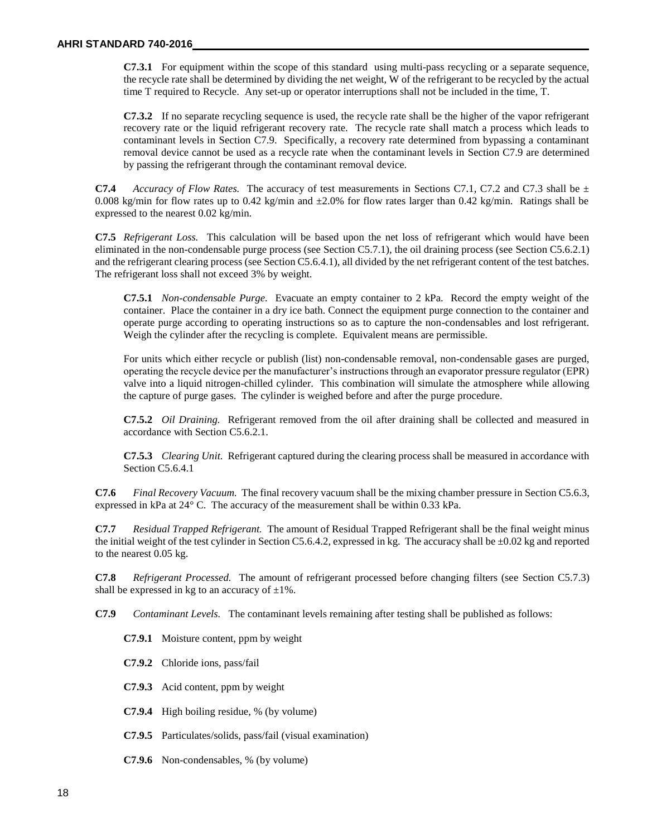**C7.3.1** For equipment within the scope of this standard using multi-pass recycling or a separate sequence, the recycle rate shall be determined by dividing the net weight, W of the refrigerant to be recycled by the actual time T required to Recycle. Any set-up or operator interruptions shall not be included in the time, T.

**C7.3.2** If no separate recycling sequence is used, the recycle rate shall be the higher of the vapor refrigerant recovery rate or the liquid refrigerant recovery rate. The recycle rate shall match a process which leads to contaminant levels in Section C7.9. Specifically, a recovery rate determined from bypassing a contaminant removal device cannot be used as a recycle rate when the contaminant levels in Section C7.9 are determined by passing the refrigerant through the contaminant removal device.

**C7.4** *Accuracy of Flow Rates.* The accuracy of test measurements in Sections C7.1, C7.2 and C7.3 shall be  $\pm$ 0.008 kg/min for flow rates up to 0.42 kg/min and  $\pm 2.0\%$  for flow rates larger than 0.42 kg/min. Ratings shall be expressed to the nearest 0.02 kg/min.

**C7.5** *Refrigerant Loss.* This calculation will be based upon the net loss of refrigerant which would have been eliminated in the non-condensable purge process (see Section C5.7.1), the oil draining process (see Section C5.6.2.1) and the refrigerant clearing process (see Section C5.6.4.1), all divided by the net refrigerant content of the test batches. The refrigerant loss shall not exceed 3% by weight.

**C7.5.1** *Non-condensable Purge.* Evacuate an empty container to 2 kPa. Record the empty weight of the container. Place the container in a dry ice bath. Connect the equipment purge connection to the container and operate purge according to operating instructions so as to capture the non-condensables and lost refrigerant. Weigh the cylinder after the recycling is complete. Equivalent means are permissible.

For units which either recycle or publish (list) non-condensable removal, non-condensable gases are purged, operating the recycle device per the manufacturer's instructions through an evaporator pressure regulator (EPR) valve into a liquid nitrogen-chilled cylinder. This combination will simulate the atmosphere while allowing the capture of purge gases. The cylinder is weighed before and after the purge procedure.

**C7.5.2** *Oil Draining.* Refrigerant removed from the oil after draining shall be collected and measured in accordance with Section C5.6.2.1.

**C7.5.3** *Clearing Unit.* Refrigerant captured during the clearing process shall be measured in accordance with Section C5.6.4.1

**C7.6** *Final Recovery Vacuum.* The final recovery vacuum shall be the mixing chamber pressure in Section C5.6.3, expressed in kPa at 24° C. The accuracy of the measurement shall be within 0.33 kPa.

**C7.7** *Residual Trapped Refrigerant.* The amount of Residual Trapped Refrigerant shall be the final weight minus the initial weight of the test cylinder in Section C5.6.4.2, expressed in kg. The accuracy shall be  $\pm 0.02$  kg and reported to the nearest 0.05 kg.

**C7.8** *Refrigerant Processed.* The amount of refrigerant processed before changing filters (see Section C5.7.3) shall be expressed in kg to an accuracy of  $\pm 1\%$ .

**C7.9** *Contaminant Levels.* The contaminant levels remaining after testing shall be published as follows:

**C7.9.1** Moisture content, ppm by weight

- **C7.9.2** Chloride ions, pass/fail
- **C7.9.3** Acid content, ppm by weight
- **C7.9.4** High boiling residue, % (by volume)
- **C7.9.5** Particulates/solids, pass/fail (visual examination)
- **C7.9.6** Non-condensables, % (by volume)